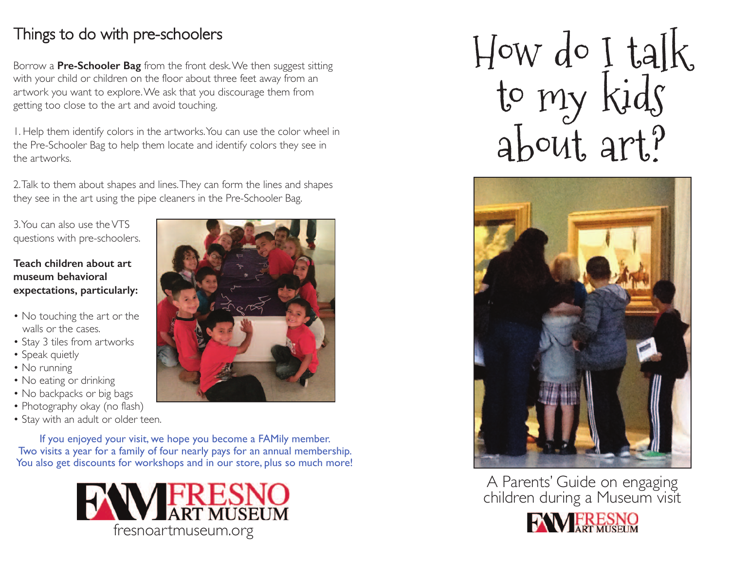## Things to do with pre-schoolers

Borrow a **Pre-Schooler Bag** from the front desk.We then suggest sitting with your child or children on the floor about three feet away from an artwork you want to explore.We ask that you discourage them from getting too close to the art and avoid touching.

1. Help them identify colors in the artworks.You can use the color wheel in the Pre-Schooler Bag to help them locate and identify colors they see in the artworks.

2.Talk to them about shapes and lines.They can form the lines and shapes they see in the art using the pipe cleaners in the Pre-Schooler Bag.

3.You can also use theVTS questions with pre-schoolers.

### **Teach children about art museum behavioral expectations, particularly:**

- No touching the art or the walls or the cases.
- Stay 3 tiles from artworks
- Speak quietly
- No running
- No eating or drinking
- No backpacks or big bags
- Photography okay (no flash)
- Stay with an adult or older teen.

If you enjoyed your visit, we hope you become a FAMily member. Two visits a year for a family of four nearly pays for an annual membership. You also get discounts for workshops and in our store, plus so much more!



How do I talk to my kids about art?



A Parents' Guide on engaging children during a Museum visit